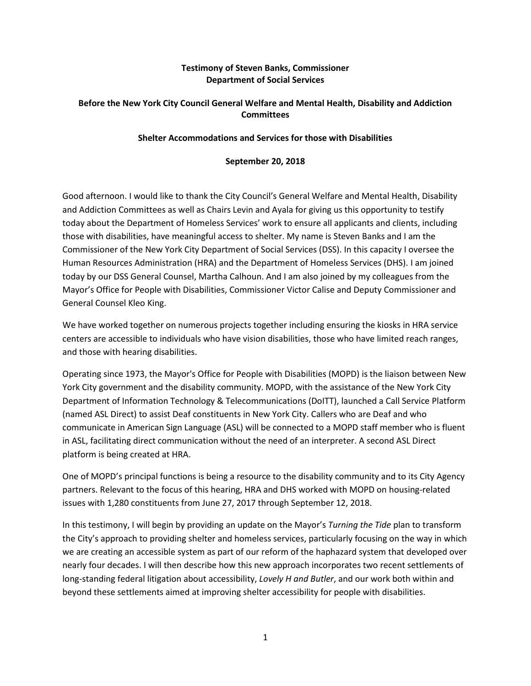## **Testimony of Steven Banks, Commissioner Department of Social Services**

## **Before the New York City Council General Welfare and Mental Health, Disability and Addiction Committees**

## **Shelter Accommodations and Services for those with Disabilities**

#### **September 20, 2018**

Good afternoon. I would like to thank the City Council's General Welfare and Mental Health, Disability and Addiction Committees as well as Chairs Levin and Ayala for giving us this opportunity to testify today about the Department of Homeless Services' work to ensure all applicants and clients, including those with disabilities, have meaningful access to shelter. My name is Steven Banks and I am the Commissioner of the New York City Department of Social Services (DSS). In this capacity I oversee the Human Resources Administration (HRA) and the Department of Homeless Services (DHS). I am joined today by our DSS General Counsel, Martha Calhoun. And I am also joined by my colleagues from the Mayor's Office for People with Disabilities, Commissioner Victor Calise and Deputy Commissioner and General Counsel Kleo King.

We have worked together on numerous projects together including ensuring the kiosks in HRA service centers are accessible to individuals who have vision disabilities, those who have limited reach ranges, and those with hearing disabilities.

Operating since 1973, the Mayor's Office for People with Disabilities (MOPD) is the liaison between New York City government and the disability community. MOPD, with the assistance of the New York City Department of Information Technology & Telecommunications (DoITT), launched a Call Service Platform (named ASL Direct) to assist Deaf constituents in New York City. Callers who are Deaf and who communicate in American Sign Language (ASL) will be connected to a MOPD staff member who is fluent in ASL, facilitating direct communication without the need of an interpreter. A second ASL Direct platform is being created at HRA.

One of MOPD's principal functions is being a resource to the disability community and to its City Agency partners. Relevant to the focus of this hearing, HRA and DHS worked with MOPD on housing-related issues with 1,280 constituents from June 27, 2017 through September 12, 2018.

In this testimony, I will begin by providing an update on the Mayor's *Turning the Tide* plan to transform the City's approach to providing shelter and homeless services, particularly focusing on the way in which we are creating an accessible system as part of our reform of the haphazard system that developed over nearly four decades. I will then describe how this new approach incorporates two recent settlements of long-standing federal litigation about accessibility, *Lovely H and Butler*, and our work both within and beyond these settlements aimed at improving shelter accessibility for people with disabilities.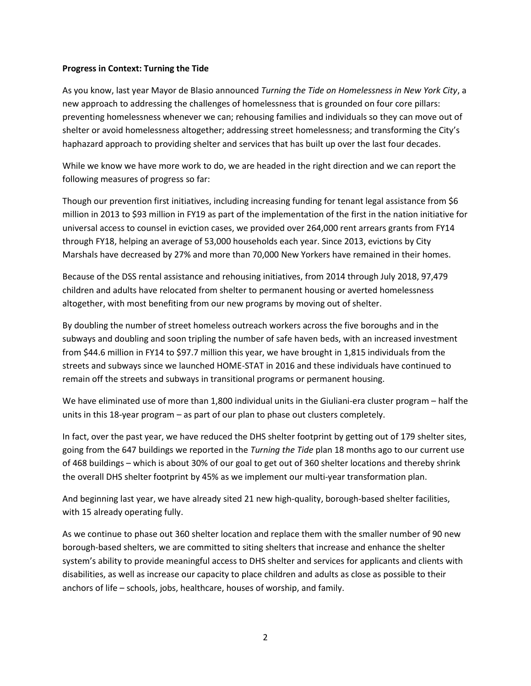#### **Progress in Context: Turning the Tide**

As you know, last year Mayor de Blasio announced *Turning the Tide on Homelessness in New York City*, a new approach to addressing the challenges of homelessness that is grounded on four core pillars: preventing homelessness whenever we can; rehousing families and individuals so they can move out of shelter or avoid homelessness altogether; addressing street homelessness; and transforming the City's haphazard approach to providing shelter and services that has built up over the last four decades.

While we know we have more work to do, we are headed in the right direction and we can report the following measures of progress so far:

Though our prevention first initiatives, including increasing funding for tenant legal assistance from \$6 million in 2013 to \$93 million in FY19 as part of the implementation of the first in the nation initiative for universal access to counsel in eviction cases, we provided over 264,000 rent arrears grants from FY14 through FY18, helping an average of 53,000 households each year. Since 2013, evictions by City Marshals have decreased by 27% and more than 70,000 New Yorkers have remained in their homes.

Because of the DSS rental assistance and rehousing initiatives, from 2014 through July 2018, 97,479 children and adults have relocated from shelter to permanent housing or averted homelessness altogether, with most benefiting from our new programs by moving out of shelter.

By doubling the number of street homeless outreach workers across the five boroughs and in the subways and doubling and soon tripling the number of safe haven beds, with an increased investment from \$44.6 million in FY14 to \$97.7 million this year, we have brought in 1,815 individuals from the streets and subways since we launched HOME-STAT in 2016 and these individuals have continued to remain off the streets and subways in transitional programs or permanent housing.

We have eliminated use of more than 1,800 individual units in the Giuliani-era cluster program – half the units in this 18-year program – as part of our plan to phase out clusters completely.

In fact, over the past year, we have reduced the DHS shelter footprint by getting out of 179 shelter sites, going from the 647 buildings we reported in the *Turning the Tide* plan 18 months ago to our current use of 468 buildings – which is about 30% of our goal to get out of 360 shelter locations and thereby shrink the overall DHS shelter footprint by 45% as we implement our multi-year transformation plan.

And beginning last year, we have already sited 21 new high-quality, borough-based shelter facilities, with 15 already operating fully.

As we continue to phase out 360 shelter location and replace them with the smaller number of 90 new borough-based shelters, we are committed to siting shelters that increase and enhance the shelter system's ability to provide meaningful access to DHS shelter and services for applicants and clients with disabilities, as well as increase our capacity to place children and adults as close as possible to their anchors of life – schools, jobs, healthcare, houses of worship, and family.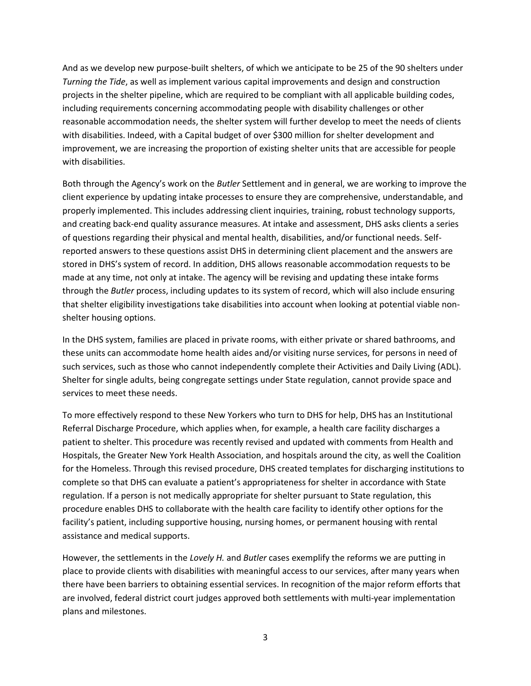And as we develop new purpose-built shelters, of which we anticipate to be 25 of the 90 shelters under *Turning the Tide*, as well as implement various capital improvements and design and construction projects in the shelter pipeline, which are required to be compliant with all applicable building codes, including requirements concerning accommodating people with disability challenges or other reasonable accommodation needs, the shelter system will further develop to meet the needs of clients with disabilities. Indeed, with a Capital budget of over \$300 million for shelter development and improvement, we are increasing the proportion of existing shelter units that are accessible for people with disabilities.

Both through the Agency's work on the *Butler* Settlement and in general, we are working to improve the client experience by updating intake processes to ensure they are comprehensive, understandable, and properly implemented. This includes addressing client inquiries, training, robust technology supports, and creating back-end quality assurance measures. At intake and assessment, DHS asks clients a series of questions regarding their physical and mental health, disabilities, and/or functional needs. Selfreported answers to these questions assist DHS in determining client placement and the answers are stored in DHS's system of record. In addition, DHS allows reasonable accommodation requests to be made at any time, not only at intake. The agency will be revising and updating these intake forms through the *Butler* process, including updates to its system of record, which will also include ensuring that shelter eligibility investigations take disabilities into account when looking at potential viable nonshelter housing options.

In the DHS system, families are placed in private rooms, with either private or shared bathrooms, and these units can accommodate home health aides and/or visiting nurse services, for persons in need of such services, such as those who cannot independently complete their Activities and Daily Living (ADL). Shelter for single adults, being congregate settings under State regulation, cannot provide space and services to meet these needs.

To more effectively respond to these New Yorkers who turn to DHS for help, DHS has an Institutional Referral Discharge Procedure, which applies when, for example, a health care facility discharges a patient to shelter. This procedure was recently revised and updated with comments from Health and Hospitals, the Greater New York Health Association, and hospitals around the city, as well the Coalition for the Homeless. Through this revised procedure, DHS created templates for discharging institutions to complete so that DHS can evaluate a patient's appropriateness for shelter in accordance with State regulation. If a person is not medically appropriate for shelter pursuant to State regulation, this procedure enables DHS to collaborate with the health care facility to identify other options for the facility's patient, including supportive housing, nursing homes, or permanent housing with rental assistance and medical supports.

However, the settlements in the *Lovely H.* and *Butler* cases exemplify the reforms we are putting in place to provide clients with disabilities with meaningful access to our services, after many years when there have been barriers to obtaining essential services. In recognition of the major reform efforts that are involved, federal district court judges approved both settlements with multi-year implementation plans and milestones.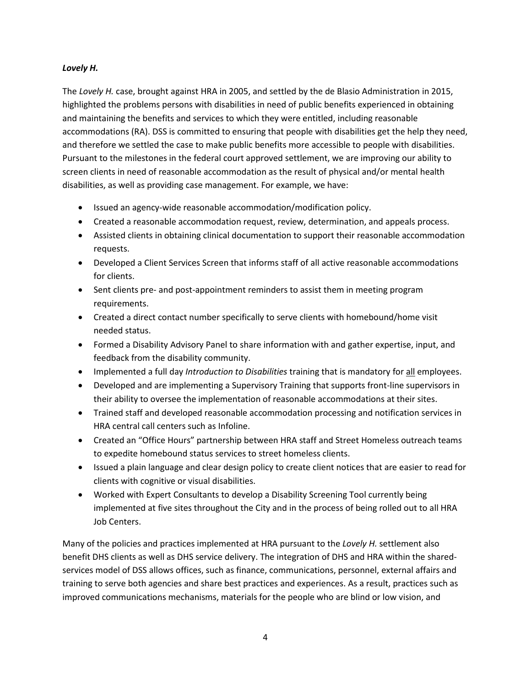## *Lovely H.*

The *Lovely H.* case, brought against HRA in 2005, and settled by the de Blasio Administration in 2015, highlighted the problems persons with disabilities in need of public benefits experienced in obtaining and maintaining the benefits and services to which they were entitled, including reasonable accommodations (RA). DSS is committed to ensuring that people with disabilities get the help they need, and therefore we settled the case to make public benefits more accessible to people with disabilities. Pursuant to the milestones in the federal court approved settlement, we are improving our ability to screen clients in need of reasonable accommodation as the result of physical and/or mental health disabilities, as well as providing case management. For example, we have:

- Issued an agency-wide reasonable accommodation/modification policy.
- Created a reasonable accommodation request, review, determination, and appeals process.
- Assisted clients in obtaining clinical documentation to support their reasonable accommodation requests.
- Developed a Client Services Screen that informs staff of all active reasonable accommodations for clients.
- Sent clients pre- and post-appointment reminders to assist them in meeting program requirements.
- Created a direct contact number specifically to serve clients with homebound/home visit needed status.
- Formed a Disability Advisory Panel to share information with and gather expertise, input, and feedback from the disability community.
- Implemented a full day *Introduction to Disabilities* training that is mandatory for all employees.
- Developed and are implementing a Supervisory Training that supports front-line supervisors in their ability to oversee the implementation of reasonable accommodations at their sites.
- Trained staff and developed reasonable accommodation processing and notification services in HRA central call centers such as Infoline.
- Created an "Office Hours" partnership between HRA staff and Street Homeless outreach teams to expedite homebound status services to street homeless clients.
- Issued a plain language and clear design policy to create client notices that are easier to read for clients with cognitive or visual disabilities.
- Worked with Expert Consultants to develop a Disability Screening Tool currently being implemented at five sites throughout the City and in the process of being rolled out to all HRA Job Centers.

Many of the policies and practices implemented at HRA pursuant to the *Lovely H.* settlement also benefit DHS clients as well as DHS service delivery. The integration of DHS and HRA within the sharedservices model of DSS allows offices, such as finance, communications, personnel, external affairs and training to serve both agencies and share best practices and experiences. As a result, practices such as improved communications mechanisms, materials for the people who are blind or low vision, and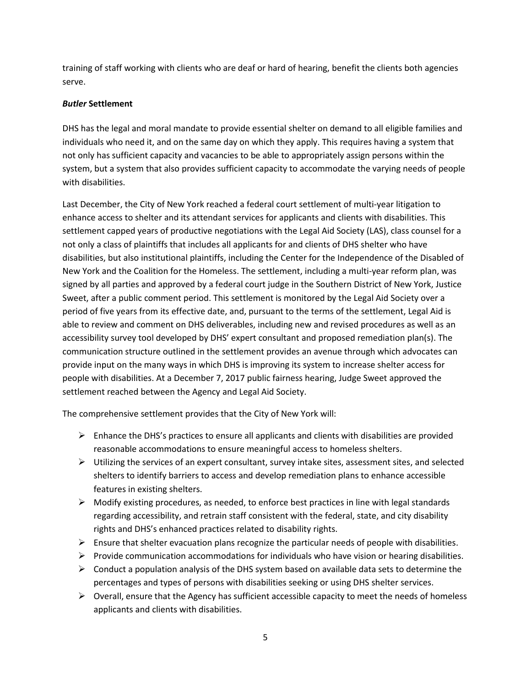training of staff working with clients who are deaf or hard of hearing, benefit the clients both agencies serve.

## *Butler* **Settlement**

DHS has the legal and moral mandate to provide essential shelter on demand to all eligible families and individuals who need it, and on the same day on which they apply. This requires having a system that not only has sufficient capacity and vacancies to be able to appropriately assign persons within the system, but a system that also provides sufficient capacity to accommodate the varying needs of people with disabilities.

Last December, the City of New York reached a federal court settlement of multi-year litigation to enhance access to shelter and its attendant services for applicants and clients with disabilities. This settlement capped years of productive negotiations with the Legal Aid Society (LAS), class counsel for a not only a class of plaintiffs that includes all applicants for and clients of DHS shelter who have disabilities, but also institutional plaintiffs, including the Center for the Independence of the Disabled of New York and the Coalition for the Homeless. The settlement, including a multi-year reform plan, was signed by all parties and approved by a federal court judge in the Southern District of New York, Justice Sweet, after a public comment period. This settlement is monitored by the Legal Aid Society over a period of five years from its effective date, and, pursuant to the terms of the settlement, Legal Aid is able to review and comment on DHS deliverables, including new and revised procedures as well as an accessibility survey tool developed by DHS' expert consultant and proposed remediation plan(s). The communication structure outlined in the settlement provides an avenue through which advocates can provide input on the many ways in which DHS is improving its system to increase shelter access for people with disabilities. At a December 7, 2017 public fairness hearing, Judge Sweet approved the settlement reached between the Agency and Legal Aid Society.

The comprehensive settlement provides that the City of New York will:

- $\triangleright$  Enhance the DHS's practices to ensure all applicants and clients with disabilities are provided reasonable accommodations to ensure meaningful access to homeless shelters.
- $\triangleright$  Utilizing the services of an expert consultant, survey intake sites, assessment sites, and selected shelters to identify barriers to access and develop remediation plans to enhance accessible features in existing shelters.
- $\triangleright$  Modify existing procedures, as needed, to enforce best practices in line with legal standards regarding accessibility, and retrain staff consistent with the federal, state, and city disability rights and DHS's enhanced practices related to disability rights.
- $\triangleright$  Ensure that shelter evacuation plans recognize the particular needs of people with disabilities.
- $\triangleright$  Provide communication accommodations for individuals who have vision or hearing disabilities.
- $\triangleright$  Conduct a population analysis of the DHS system based on available data sets to determine the percentages and types of persons with disabilities seeking or using DHS shelter services.
- $\triangleright$  Overall, ensure that the Agency has sufficient accessible capacity to meet the needs of homeless applicants and clients with disabilities.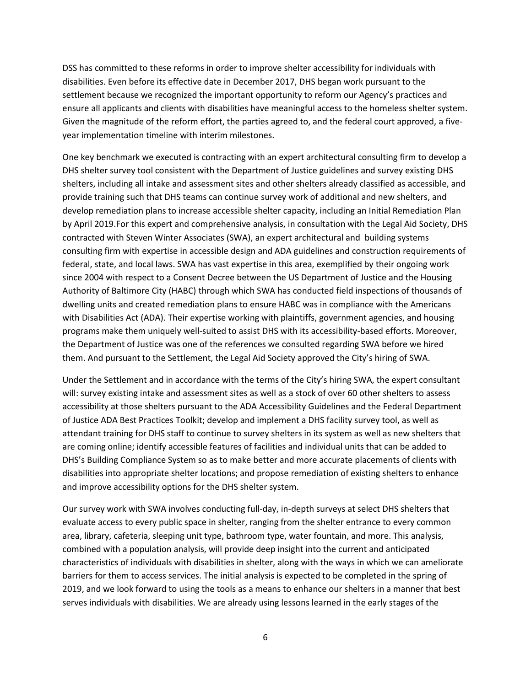DSS has committed to these reforms in order to improve shelter accessibility for individuals with disabilities. Even before its effective date in December 2017, DHS began work pursuant to the settlement because we recognized the important opportunity to reform our Agency's practices and ensure all applicants and clients with disabilities have meaningful access to the homeless shelter system. Given the magnitude of the reform effort, the parties agreed to, and the federal court approved, a fiveyear implementation timeline with interim milestones.

One key benchmark we executed is contracting with an expert architectural consulting firm to develop a DHS shelter survey tool consistent with the Department of Justice guidelines and survey existing DHS shelters, including all intake and assessment sites and other shelters already classified as accessible, and provide training such that DHS teams can continue survey work of additional and new shelters, and develop remediation plans to increase accessible shelter capacity, including an Initial Remediation Plan by April 2019.For this expert and comprehensive analysis, in consultation with the Legal Aid Society, DHS contracted with Steven Winter Associates (SWA), an expert architectural and building systems consulting firm with expertise in accessible design and ADA guidelines and construction requirements of federal, state, and local laws. SWA has vast expertise in this area, exemplified by their ongoing work since 2004 with respect to a Consent Decree between the US Department of Justice and the Housing Authority of Baltimore City (HABC) through which SWA has conducted field inspections of thousands of dwelling units and created remediation plans to ensure HABC was in compliance with the Americans with Disabilities Act (ADA). Their expertise working with plaintiffs, government agencies, and housing programs make them uniquely well-suited to assist DHS with its accessibility-based efforts. Moreover, the Department of Justice was one of the references we consulted regarding SWA before we hired them. And pursuant to the Settlement, the Legal Aid Society approved the City's hiring of SWA.

Under the Settlement and in accordance with the terms of the City's hiring SWA, the expert consultant will: survey existing intake and assessment sites as well as a stock of over 60 other shelters to assess accessibility at those shelters pursuant to the ADA Accessibility Guidelines and the Federal Department of Justice ADA Best Practices Toolkit; develop and implement a DHS facility survey tool, as well as attendant training for DHS staff to continue to survey shelters in its system as well as new shelters that are coming online; identify accessible features of facilities and individual units that can be added to DHS's Building Compliance System so as to make better and more accurate placements of clients with disabilities into appropriate shelter locations; and propose remediation of existing shelters to enhance and improve accessibility options for the DHS shelter system.

Our survey work with SWA involves conducting full-day, in-depth surveys at select DHS shelters that evaluate access to every public space in shelter, ranging from the shelter entrance to every common area, library, cafeteria, sleeping unit type, bathroom type, water fountain, and more. This analysis, combined with a population analysis, will provide deep insight into the current and anticipated characteristics of individuals with disabilities in shelter, along with the ways in which we can ameliorate barriers for them to access services. The initial analysis is expected to be completed in the spring of 2019, and we look forward to using the tools as a means to enhance our shelters in a manner that best serves individuals with disabilities. We are already using lessons learned in the early stages of the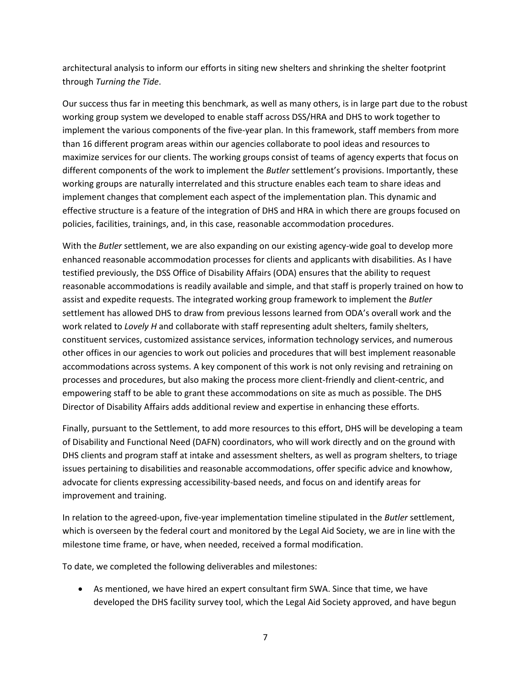architectural analysis to inform our efforts in siting new shelters and shrinking the shelter footprint through *Turning the Tide*.

Our success thus far in meeting this benchmark, as well as many others, is in large part due to the robust working group system we developed to enable staff across DSS/HRA and DHS to work together to implement the various components of the five-year plan. In this framework, staff members from more than 16 different program areas within our agencies collaborate to pool ideas and resources to maximize services for our clients. The working groups consist of teams of agency experts that focus on different components of the work to implement the *Butler* settlement's provisions. Importantly, these working groups are naturally interrelated and this structure enables each team to share ideas and implement changes that complement each aspect of the implementation plan. This dynamic and effective structure is a feature of the integration of DHS and HRA in which there are groups focused on policies, facilities, trainings, and, in this case, reasonable accommodation procedures.

With the *Butler* settlement, we are also expanding on our existing agency-wide goal to develop more enhanced reasonable accommodation processes for clients and applicants with disabilities. As I have testified previously, the DSS Office of Disability Affairs (ODA) ensures that the ability to request reasonable accommodations is readily available and simple, and that staff is properly trained on how to assist and expedite requests. The integrated working group framework to implement the *Butler* settlement has allowed DHS to draw from previous lessons learned from ODA's overall work and the work related to *Lovely H* and collaborate with staff representing adult shelters, family shelters, constituent services, customized assistance services, information technology services, and numerous other offices in our agencies to work out policies and procedures that will best implement reasonable accommodations across systems. A key component of this work is not only revising and retraining on processes and procedures, but also making the process more client-friendly and client-centric, and empowering staff to be able to grant these accommodations on site as much as possible. The DHS Director of Disability Affairs adds additional review and expertise in enhancing these efforts.

Finally, pursuant to the Settlement, to add more resources to this effort, DHS will be developing a team of Disability and Functional Need (DAFN) coordinators, who will work directly and on the ground with DHS clients and program staff at intake and assessment shelters, as well as program shelters, to triage issues pertaining to disabilities and reasonable accommodations, offer specific advice and knowhow, advocate for clients expressing accessibility-based needs, and focus on and identify areas for improvement and training.

In relation to the agreed-upon, five-year implementation timeline stipulated in the *Butler* settlement, which is overseen by the federal court and monitored by the Legal Aid Society, we are in line with the milestone time frame, or have, when needed, received a formal modification.

To date, we completed the following deliverables and milestones:

 As mentioned, we have hired an expert consultant firm SWA. Since that time, we have developed the DHS facility survey tool, which the Legal Aid Society approved, and have begun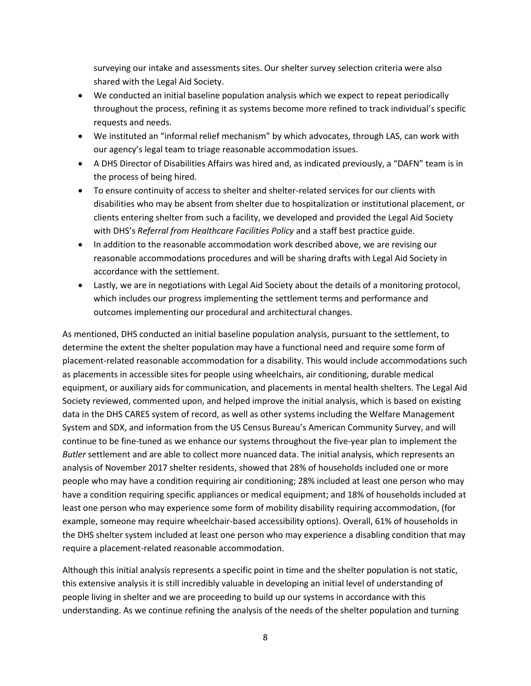surveying our intake and assessments sites. Our shelter survey selection criteria were also shared with the Legal Aid Society.

- We conducted an initial baseline population analysis which we expect to repeat periodically throughout the process, refining it as systems become more refined to track individual's specific requests and needs.
- We instituted an "informal relief mechanism" by which advocates, through LAS, can work with our agency's legal team to triage reasonable accommodation issues.
- A DHS Director of Disabilities Affairs was hired and, as indicated previously, a "DAFN" team is in the process of being hired.
- To ensure continuity of access to shelter and shelter-related services for our clients with disabilities who may be absent from shelter due to hospitalization or institutional placement, or clients entering shelter from such a facility, we developed and provided the Legal Aid Society with DHS's *Referral from Healthcare Facilities Policy* and a staff best practice guide.
- In addition to the reasonable accommodation work described above, we are revising our reasonable accommodations procedures and will be sharing drafts with Legal Aid Society in accordance with the settlement.
- Lastly, we are in negotiations with Legal Aid Society about the details of a monitoring protocol, which includes our progress implementing the settlement terms and performance and outcomes implementing our procedural and architectural changes.

As mentioned, DHS conducted an initial baseline population analysis, pursuant to the settlement, to determine the extent the shelter population may have a functional need and require some form of placement-related reasonable accommodation for a disability. This would include accommodations such as placements in accessible sites for people using wheelchairs, air conditioning, durable medical equipment, or auxiliary aids for communication, and placements in mental health shelters. The Legal Aid Society reviewed, commented upon, and helped improve the initial analysis, which is based on existing data in the DHS CARES system of record, as well as other systems including the Welfare Management System and SDX, and information from the US Census Bureau's American Community Survey, and will continue to be fine-tuned as we enhance our systems throughout the five-year plan to implement the *Butler* settlement and are able to collect more nuanced data. The initial analysis, which represents an analysis of November 2017 shelter residents, showed that 28% of households included one or more people who may have a condition requiring air conditioning; 28% included at least one person who may have a condition requiring specific appliances or medical equipment; and 18% of households included at least one person who may experience some form of mobility disability requiring accommodation, (for example, someone may require wheelchair-based accessibility options). Overall, 61% of households in the DHS shelter system included at least one person who may experience a disabling condition that may require a placement-related reasonable accommodation.

Although this initial analysis represents a specific point in time and the shelter population is not static, this extensive analysis it is still incredibly valuable in developing an initial level of understanding of people living in shelter and we are proceeding to build up our systems in accordance with this understanding. As we continue refining the analysis of the needs of the shelter population and turning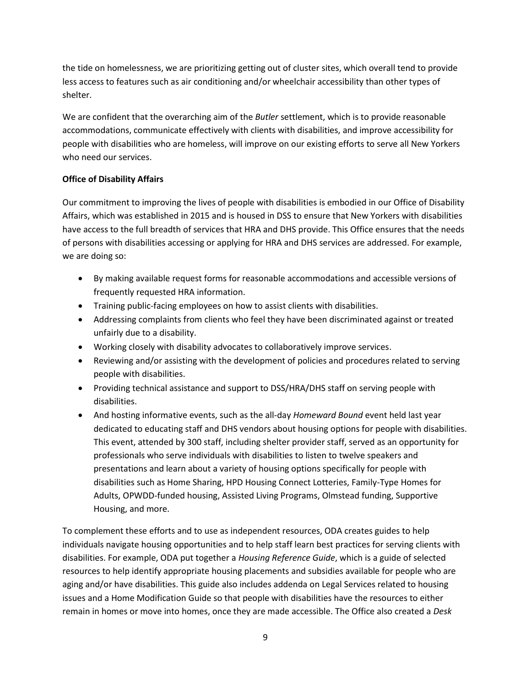the tide on homelessness, we are prioritizing getting out of cluster sites, which overall tend to provide less access to features such as air conditioning and/or wheelchair accessibility than other types of shelter.

We are confident that the overarching aim of the *Butler* settlement, which is to provide reasonable accommodations, communicate effectively with clients with disabilities, and improve accessibility for people with disabilities who are homeless, will improve on our existing efforts to serve all New Yorkers who need our services.

# **Office of Disability Affairs**

Our commitment to improving the lives of people with disabilities is embodied in our Office of Disability Affairs, which was established in 2015 and is housed in DSS to ensure that New Yorkers with disabilities have access to the full breadth of services that HRA and DHS provide. This Office ensures that the needs of persons with disabilities accessing or applying for HRA and DHS services are addressed. For example, we are doing so:

- By making available request forms for reasonable accommodations and accessible versions of frequently requested HRA information.
- Training public-facing employees on how to assist clients with disabilities.
- Addressing complaints from clients who feel they have been discriminated against or treated unfairly due to a disability.
- Working closely with disability advocates to collaboratively improve services.
- Reviewing and/or assisting with the development of policies and procedures related to serving people with disabilities.
- Providing technical assistance and support to DSS/HRA/DHS staff on serving people with disabilities.
- And hosting informative events, such as the all-day *Homeward Bound* event held last year dedicated to educating staff and DHS vendors about housing options for people with disabilities. This event, attended by 300 staff, including shelter provider staff, served as an opportunity for professionals who serve individuals with disabilities to listen to twelve speakers and presentations and learn about a variety of housing options specifically for people with disabilities such as Home Sharing, HPD Housing Connect Lotteries, Family-Type Homes for Adults, OPWDD-funded housing, Assisted Living Programs, Olmstead funding, Supportive Housing, and more.

To complement these efforts and to use as independent resources, ODA creates guides to help individuals navigate housing opportunities and to help staff learn best practices for serving clients with disabilities. For example, ODA put together a *Housing Reference Guide*, which is a guide of selected resources to help identify appropriate housing placements and subsidies available for people who are aging and/or have disabilities. This guide also includes addenda on Legal Services related to housing issues and a Home Modification Guide so that people with disabilities have the resources to either remain in homes or move into homes, once they are made accessible. The Office also created a *Desk*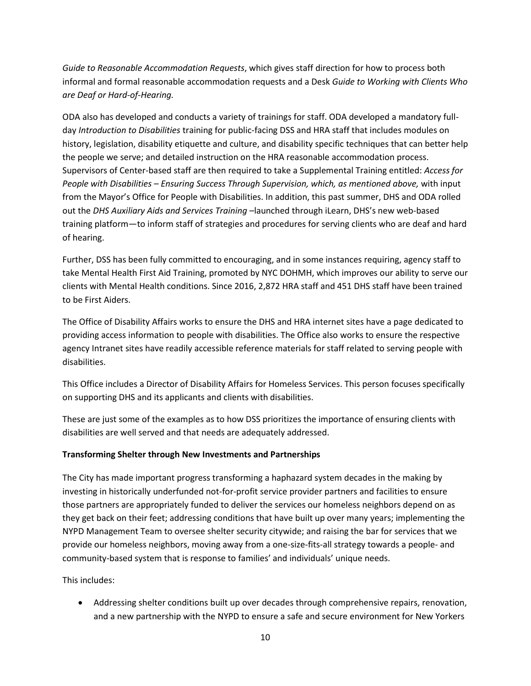*Guide to Reasonable Accommodation Requests*, which gives staff direction for how to process both informal and formal reasonable accommodation requests and a Desk *Guide to Working with Clients Who are Deaf or Hard-of-Hearing.* 

ODA also has developed and conducts a variety of trainings for staff. ODA developed a mandatory fullday *Introduction to Disabilities* training for public-facing DSS and HRA staff that includes modules on history, legislation, disability etiquette and culture, and disability specific techniques that can better help the people we serve; and detailed instruction on the HRA reasonable accommodation process. Supervisors of Center-based staff are then required to take a Supplemental Training entitled: *Access for People with Disabilities – Ensuring Success Through Supervision, which, as mentioned above,* with input from the Mayor's Office for People with Disabilities. In addition, this past summer, DHS and ODA rolled out the *DHS Auxiliary Aids and Services Training* –launched through iLearn, DHS's new web-based training platform—to inform staff of strategies and procedures for serving clients who are deaf and hard of hearing.

Further, DSS has been fully committed to encouraging, and in some instances requiring, agency staff to take Mental Health First Aid Training, promoted by NYC DOHMH, which improves our ability to serve our clients with Mental Health conditions. Since 2016, 2,872 HRA staff and 451 DHS staff have been trained to be First Aiders.

The Office of Disability Affairs works to ensure the DHS and HRA internet sites have a page dedicated to providing access information to people with disabilities. The Office also works to ensure the respective agency Intranet sites have readily accessible reference materials for staff related to serving people with disabilities.

This Office includes a Director of Disability Affairs for Homeless Services. This person focuses specifically on supporting DHS and its applicants and clients with disabilities.

These are just some of the examples as to how DSS prioritizes the importance of ensuring clients with disabilities are well served and that needs are adequately addressed.

# **Transforming Shelter through New Investments and Partnerships**

The City has made important progress transforming a haphazard system decades in the making by investing in historically underfunded not-for-profit service provider partners and facilities to ensure those partners are appropriately funded to deliver the services our homeless neighbors depend on as they get back on their feet; addressing conditions that have built up over many years; implementing the NYPD Management Team to oversee shelter security citywide; and raising the bar for services that we provide our homeless neighbors, moving away from a one-size-fits-all strategy towards a people- and community-based system that is response to families' and individuals' unique needs.

# This includes:

 Addressing shelter conditions built up over decades through comprehensive repairs, renovation, and a new partnership with the NYPD to ensure a safe and secure environment for New Yorkers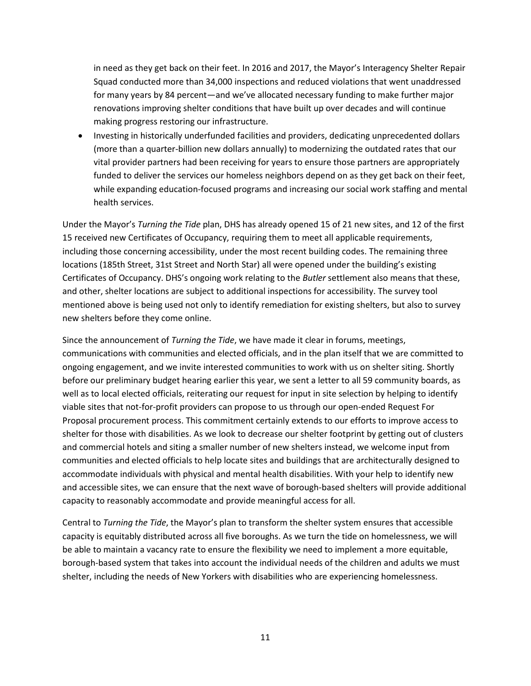in need as they get back on their feet. In 2016 and 2017, the Mayor's Interagency Shelter Repair Squad conducted more than 34,000 inspections and reduced violations that went unaddressed for many years by 84 percent—and we've allocated necessary funding to make further major renovations improving shelter conditions that have built up over decades and will continue making progress restoring our infrastructure.

 Investing in historically underfunded facilities and providers, dedicating unprecedented dollars (more than a quarter-billion new dollars annually) to modernizing the outdated rates that our vital provider partners had been receiving for years to ensure those partners are appropriately funded to deliver the services our homeless neighbors depend on as they get back on their feet, while expanding education-focused programs and increasing our social work staffing and mental health services.

Under the Mayor's *Turning the Tide* plan, DHS has already opened 15 of 21 new sites, and 12 of the first 15 received new Certificates of Occupancy, requiring them to meet all applicable requirements, including those concerning accessibility, under the most recent building codes. The remaining three locations (185th Street, 31st Street and North Star) all were opened under the building's existing Certificates of Occupancy. DHS's ongoing work relating to the *Butler* settlement also means that these, and other, shelter locations are subject to additional inspections for accessibility. The survey tool mentioned above is being used not only to identify remediation for existing shelters, but also to survey new shelters before they come online.

Since the announcement of *Turning the Tide*, we have made it clear in forums, meetings, communications with communities and elected officials, and in the plan itself that we are committed to ongoing engagement, and we invite interested communities to work with us on shelter siting. Shortly before our preliminary budget hearing earlier this year, we sent a letter to all 59 community boards, as well as to local elected officials, reiterating our request for input in site selection by helping to identify viable sites that not-for-profit providers can propose to us through our open-ended Request For Proposal procurement process. This commitment certainly extends to our efforts to improve access to shelter for those with disabilities. As we look to decrease our shelter footprint by getting out of clusters and commercial hotels and siting a smaller number of new shelters instead, we welcome input from communities and elected officials to help locate sites and buildings that are architecturally designed to accommodate individuals with physical and mental health disabilities. With your help to identify new and accessible sites, we can ensure that the next wave of borough-based shelters will provide additional capacity to reasonably accommodate and provide meaningful access for all.

Central to *Turning the Tide*, the Mayor's plan to transform the shelter system ensures that accessible capacity is equitably distributed across all five boroughs. As we turn the tide on homelessness, we will be able to maintain a vacancy rate to ensure the flexibility we need to implement a more equitable, borough-based system that takes into account the individual needs of the children and adults we must shelter, including the needs of New Yorkers with disabilities who are experiencing homelessness.